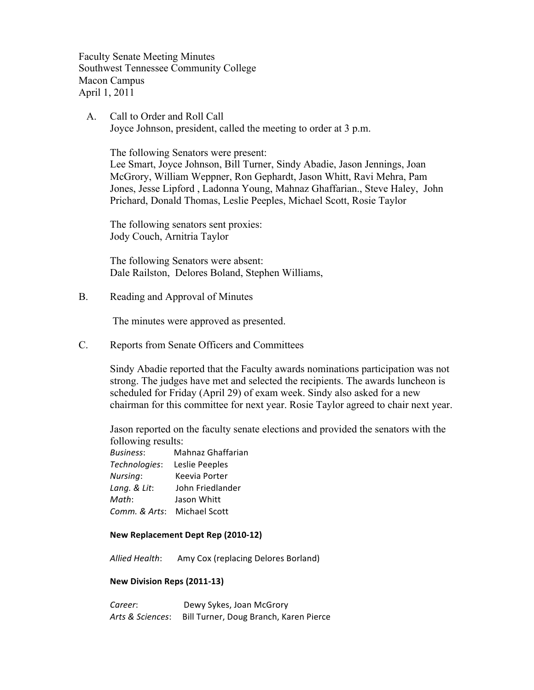Faculty Senate Meeting Minutes Southwest Tennessee Community College Macon Campus April 1, 2011

 A. Call to Order and Roll Call Joyce Johnson, president, called the meeting to order at 3 p.m.

The following Senators were present:

Lee Smart, Joyce Johnson, Bill Turner, Sindy Abadie, Jason Jennings, Joan McGrory, William Weppner, Ron Gephardt, Jason Whitt, Ravi Mehra, Pam Jones, Jesse Lipford , Ladonna Young, Mahnaz Ghaffarian., Steve Haley, John Prichard, Donald Thomas, Leslie Peeples, Michael Scott, Rosie Taylor

The following senators sent proxies: Jody Couch, Arnitria Taylor

The following Senators were absent: Dale Railston, Delores Boland, Stephen Williams,

B. Reading and Approval of Minutes

The minutes were approved as presented.

C. Reports from Senate Officers and Committees

Sindy Abadie reported that the Faculty awards nominations participation was not strong. The judges have met and selected the recipients. The awards luncheon is scheduled for Friday (April 29) of exam week. Sindy also asked for a new chairman for this committee for next year. Rosie Taylor agreed to chair next year.

Jason reported on the faculty senate elections and provided the senators with the following results:

**Business:** Mahnaz Ghaffarian Technologies: Leslie Peeples *Nursing*: Keevia Porter Lang. & Lit: John Friedlander *Math*: Jason Whitt *Comm. & Arts: Michael Scott* 

#### **New Replacement Dept Rep (2010-12)**

Allied Health: Amy Cox (replacing Delores Borland)

#### **New Division Reps (2011-13)**

**Career:** ""
Dewy Sykes, Joan McGrory Arts & Sciences: Bill Turner, Doug Branch, Karen Pierce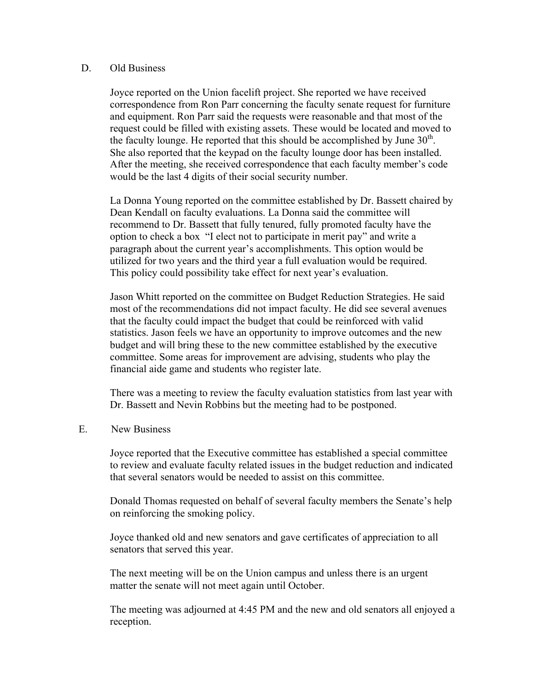#### D. Old Business

Joyce reported on the Union facelift project. She reported we have received correspondence from Ron Parr concerning the faculty senate request for furniture and equipment. Ron Parr said the requests were reasonable and that most of the request could be filled with existing assets. These would be located and moved to the faculty lounge. He reported that this should be accomplished by June  $30<sup>th</sup>$ . She also reported that the keypad on the faculty lounge door has been installed. After the meeting, she received correspondence that each faculty member's code would be the last 4 digits of their social security number.

La Donna Young reported on the committee established by Dr. Bassett chaired by Dean Kendall on faculty evaluations. La Donna said the committee will recommend to Dr. Bassett that fully tenured, fully promoted faculty have the option to check a box "I elect not to participate in merit pay" and write a paragraph about the current year's accomplishments. This option would be utilized for two years and the third year a full evaluation would be required. This policy could possibility take effect for next year's evaluation.

Jason Whitt reported on the committee on Budget Reduction Strategies. He said most of the recommendations did not impact faculty. He did see several avenues that the faculty could impact the budget that could be reinforced with valid statistics. Jason feels we have an opportunity to improve outcomes and the new budget and will bring these to the new committee established by the executive committee. Some areas for improvement are advising, students who play the financial aide game and students who register late.

There was a meeting to review the faculty evaluation statistics from last year with Dr. Bassett and Nevin Robbins but the meeting had to be postponed.

### E. New Business

Joyce reported that the Executive committee has established a special committee to review and evaluate faculty related issues in the budget reduction and indicated that several senators would be needed to assist on this committee.

Donald Thomas requested on behalf of several faculty members the Senate's help on reinforcing the smoking policy.

Joyce thanked old and new senators and gave certificates of appreciation to all senators that served this year.

The next meeting will be on the Union campus and unless there is an urgent matter the senate will not meet again until October.

The meeting was adjourned at 4:45 PM and the new and old senators all enjoyed a reception.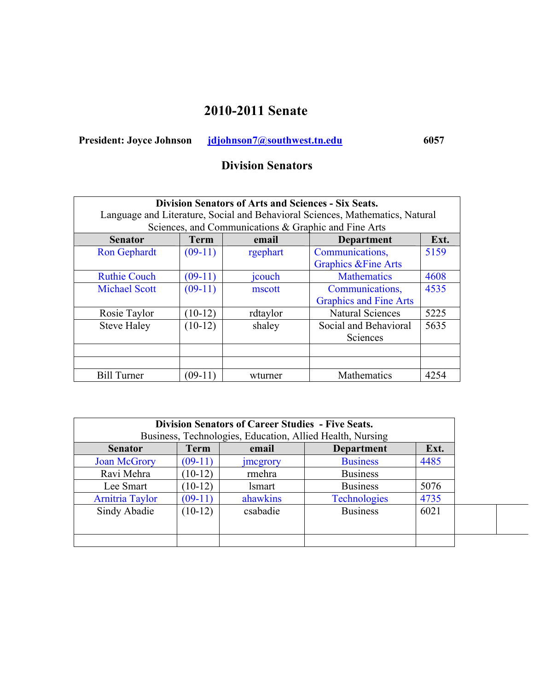# **2010-2011 Senate**

President: Joyce Johnson **jdjohnson7@southwest.tn.edu** 6057

# **Division Senators**

| <b>Division Senators of Arts and Sciences - Six Seats.</b>                                                                            |             |          |                                 |      |  |
|---------------------------------------------------------------------------------------------------------------------------------------|-------------|----------|---------------------------------|------|--|
| Language and Literature, Social and Behavioral Sciences, Mathematics, Natural<br>Sciences, and Communications & Graphic and Fine Arts |             |          |                                 |      |  |
| <b>Senator</b>                                                                                                                        | <b>Term</b> | email    | <b>Department</b>               | Ext. |  |
| <b>Ron Gephardt</b>                                                                                                                   | $(09-11)$   | rgephart | Communications,                 | 5159 |  |
|                                                                                                                                       |             |          | <b>Graphics &amp; Fine Arts</b> |      |  |
| <b>Ruthie Couch</b>                                                                                                                   | $(09-11)$   | jcouch   | <b>Mathematics</b>              | 4608 |  |
| <b>Michael Scott</b>                                                                                                                  | $(09-11)$   | mscott   | Communications,                 | 4535 |  |
|                                                                                                                                       |             |          | <b>Graphics and Fine Arts</b>   |      |  |
| Rosie Taylor                                                                                                                          | $(10-12)$   | rdtaylor | <b>Natural Sciences</b>         | 5225 |  |
| <b>Steve Haley</b>                                                                                                                    | $(10-12)$   | shaley   | Social and Behavioral           | 5635 |  |
|                                                                                                                                       |             |          | Sciences                        |      |  |
|                                                                                                                                       |             |          |                                 |      |  |
|                                                                                                                                       |             |          |                                 |      |  |
| <b>Bill Turner</b>                                                                                                                    | $(09-11)$   | wturner  | Mathematics                     | 4254 |  |

|                                                                         | <b>Division Senators of Career Studies - Five Seats.</b> |  |  |  |  |  |
|-------------------------------------------------------------------------|----------------------------------------------------------|--|--|--|--|--|
| Business, Technologies, Education, Allied Health, Nursing               |                                                          |  |  |  |  |  |
| <b>Term</b><br>email<br><b>Senator</b>                                  | Ext.<br><b>Department</b>                                |  |  |  |  |  |
| $(09-11)$<br><b>Joan McGrory</b><br><b>Business</b><br><i>s megrory</i> | 4485                                                     |  |  |  |  |  |
| <b>Business</b><br>Ravi Mehra<br>$(10-12)$<br>rmehra                    |                                                          |  |  |  |  |  |
| <b>Business</b><br>$(10-12)$<br>Lee Smart<br><i>lsmart</i>              | 5076                                                     |  |  |  |  |  |
| ahawkins<br><b>Arnitria Taylor</b><br>$(09-11)$                         | 4735<br><b>Technologies</b>                              |  |  |  |  |  |
| <b>Business</b><br>Sindy Abadie<br>$(10-12)$<br>csabadie                | 6021                                                     |  |  |  |  |  |
|                                                                         |                                                          |  |  |  |  |  |
|                                                                         |                                                          |  |  |  |  |  |